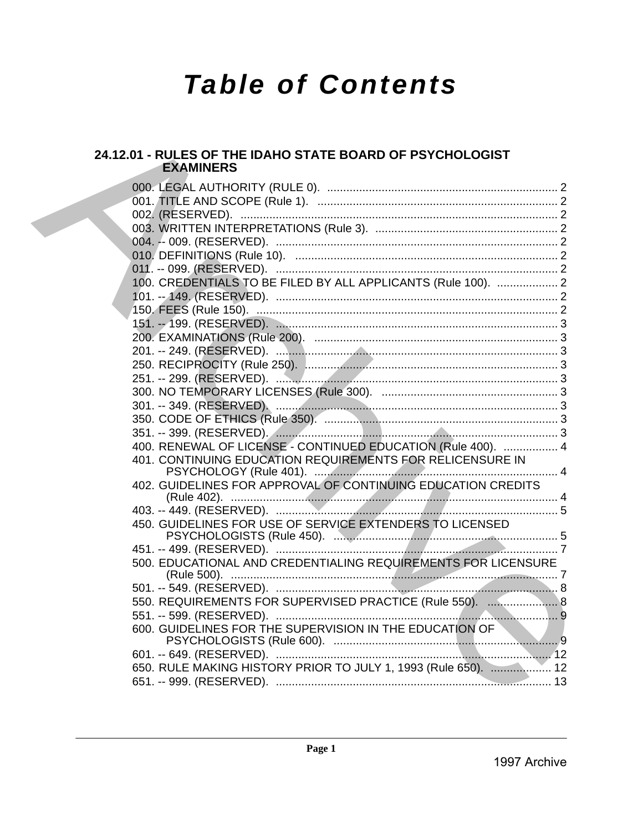# **Table of Contents**

### 24.12.01 - RULES OF THE IDAHO STATE BOARD OF PSYCHOLOGIST **EXAMINERS**

|  | 100. CREDENTIALS TO BE FILED BY ALL APPLICANTS (Rule 100).  2  |  |
|--|----------------------------------------------------------------|--|
|  |                                                                |  |
|  |                                                                |  |
|  |                                                                |  |
|  |                                                                |  |
|  |                                                                |  |
|  |                                                                |  |
|  |                                                                |  |
|  |                                                                |  |
|  |                                                                |  |
|  |                                                                |  |
|  | 400. RENEWAL OF LICENSE - CONTINUED EDUCATION (Rule 400).  4   |  |
|  | 401. CONTINUING EDUCATION REQUIREMENTS FOR RELICENSURE IN      |  |
|  |                                                                |  |
|  | 402. GUIDELINES FOR APPROVAL OF CONTINUING EDUCATION CREDITS   |  |
|  |                                                                |  |
|  |                                                                |  |
|  | 450. GUIDELINES FOR USE OF SERVICE EXTENDERS TO LICENSED       |  |
|  |                                                                |  |
|  | 500. EDUCATIONAL AND CREDENTIALING REQUIREMENTS FOR LICENSURE  |  |
|  |                                                                |  |
|  |                                                                |  |
|  | 550. REQUIREMENTS FOR SUPERVISED PRACTICE (Rule 550).  8       |  |
|  |                                                                |  |
|  | 600. GUIDELINES FOR THE SUPERVISION IN THE EDUCATION OF        |  |
|  |                                                                |  |
|  |                                                                |  |
|  | 650. RULE MAKING HISTORY PRIOR TO JULY 1, 1993 (Rule 650).  12 |  |
|  |                                                                |  |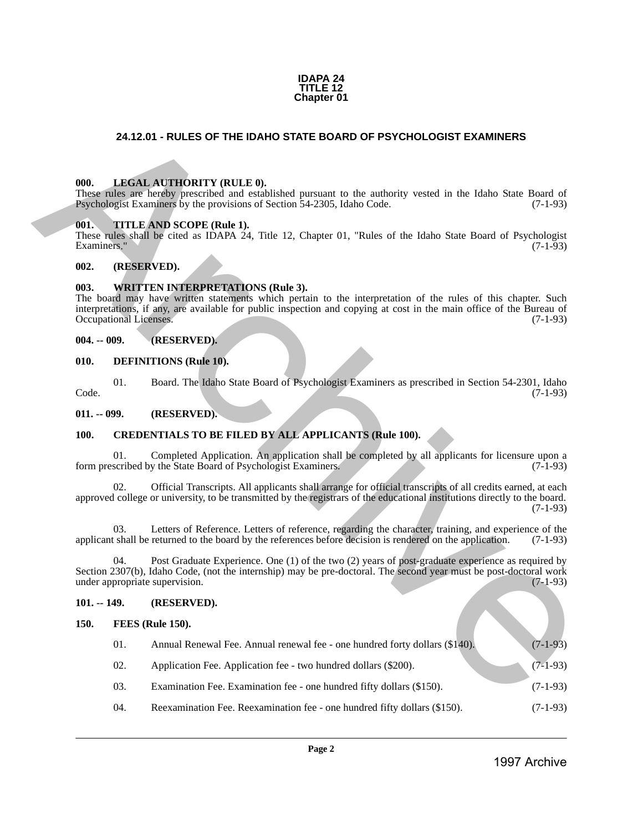#### **IDAPA 24 TITLE 12 Chapter 01**

#### <span id="page-1-0"></span>**24.12.01 - RULES OF THE IDAHO STATE BOARD OF PSYCHOLOGIST EXAMINERS**

#### <span id="page-1-1"></span>**000. LEGAL AUTHORITY (RULE 0).**

#### <span id="page-1-2"></span>**001. TITLE AND SCOPE (Rule 1).**

#### <span id="page-1-3"></span>**002. (RESERVED).**

#### <span id="page-1-4"></span>**003. WRITTEN INTERPRETATIONS (Rule 3).**

#### <span id="page-1-5"></span>**004. -- 009. (RESERVED).**

#### <span id="page-1-6"></span>**010. DEFINITIONS (Rule 10).**

#### <span id="page-1-8"></span><span id="page-1-7"></span>**100. CREDENTIALS TO BE FILED BY ALL APPLICANTS (Rule 100).**

#### <span id="page-1-10"></span><span id="page-1-9"></span>**101. -- 149. (RESERVED).**

| 000.<br>001.  |     |                                                                                                                                                                                                                                                                                                            |            |
|---------------|-----|------------------------------------------------------------------------------------------------------------------------------------------------------------------------------------------------------------------------------------------------------------------------------------------------------------|------------|
|               |     |                                                                                                                                                                                                                                                                                                            |            |
|               |     | LEGAL AUTHORITY (RULE 0).<br>These rules are hereby prescribed and established pursuant to the authority vested in the Idaho State Board of<br>Psychologist Examiners by the provisions of Section 54-2305, Idaho Code.                                                                                    | $(7-1-93)$ |
| Examiners."   |     | TITLE AND SCOPE (Rule 1).<br>These rules shall be cited as IDAPA 24, Title 12, Chapter 01, "Rules of the Idaho State Board of Psychologist                                                                                                                                                                 | $(7-1-93)$ |
| 002.          |     | (RESERVED).                                                                                                                                                                                                                                                                                                |            |
| 003.          |     | <b>WRITTEN INTERPRETATIONS (Rule 3).</b><br>The board may have written statements which pertain to the interpretation of the rules of this chapter. Such<br>interpretations, if any, are available for public inspection and copying at cost in the main office of the Bureau of<br>Occupational Licenses. | $(7-1-93)$ |
| $004. - 009.$ |     | (RESERVED).                                                                                                                                                                                                                                                                                                |            |
| 010.          |     | <b>DEFINITIONS</b> (Rule 10).                                                                                                                                                                                                                                                                              |            |
| Code.         | 01. | Board. The Idaho State Board of Psychologist Examiners as prescribed in Section 54-2301, Idaho                                                                                                                                                                                                             | $(7-1-93)$ |
| $011. - 099.$ |     | (RESERVED).                                                                                                                                                                                                                                                                                                |            |
| 100.          |     | <b>CREDENTIALS TO BE FILED BY ALL APPLICANTS (Rule 100).</b>                                                                                                                                                                                                                                               |            |
|               | 01. | Completed Application. An application shall be completed by all applicants for licensure upon a<br>form prescribed by the State Board of Psychologist Examiners.                                                                                                                                           | $(7-1-93)$ |
|               | 02. | Official Transcripts. All applicants shall arrange for official transcripts of all credits earned, at each<br>approved college or university, to be transmitted by the registrars of the educational institutions directly to the board.                                                                   | $(7-1-93)$ |
|               | 03. | Letters of Reference. Letters of reference, regarding the character, training, and experience of the<br>applicant shall be returned to the board by the references before decision is rendered on the application.                                                                                         | $(7-1-93)$ |
|               | 04. | Post Graduate Experience. One (1) of the two (2) years of post-graduate experience as required by<br>Section 2307(b), Idaho Code, (not the internship) may be pre-doctoral. The second year must be post-doctoral work<br>under appropriate supervision.                                                   | $(7-1-93)$ |
| $101. - 149.$ |     | (RESERVED).                                                                                                                                                                                                                                                                                                |            |
| 150.          |     | <b>FEES</b> (Rule 150).                                                                                                                                                                                                                                                                                    |            |
|               | 01. | Annual Renewal Fee. Annual renewal fee - one hundred forty dollars (\$140).                                                                                                                                                                                                                                | $(7-1-93)$ |
|               | 02. | Application Fee. Application fee - two hundred dollars (\$200).                                                                                                                                                                                                                                            | $(7-1-93)$ |
|               | 03. | Examination Fee. Examination fee - one hundred fifty dollars (\$150).                                                                                                                                                                                                                                      | $(7-1-93)$ |
|               | 04. | Reexamination Fee. Reexamination fee - one hundred fifty dollars (\$150).                                                                                                                                                                                                                                  | $(7-1-93)$ |
|               |     | Page 2                                                                                                                                                                                                                                                                                                     |            |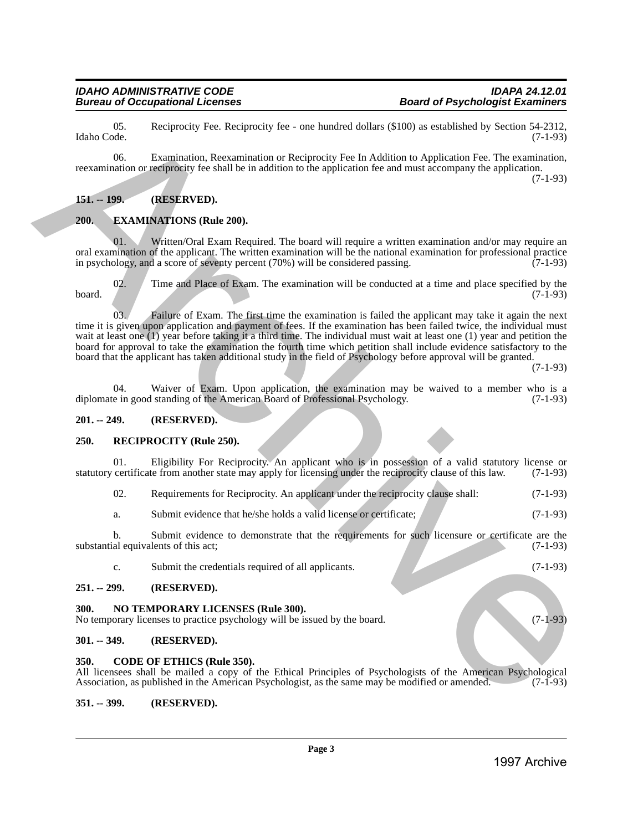#### *IDAHO ADMINISTRATIVE CODE IDAPA 24.12.01* **Bureau of Occupational Licenses**

05. Reciprocity Fee. Reciprocity fee - one hundred dollars (\$100) as established by Section 54-2312, Idaho Code. (7-1-93)

06. Examination, Reexamination or Reciprocity Fee In Addition to Application Fee. The examination, reexamination or reciprocity fee shall be in addition to the application fee and must accompany the application.

(7-1-93)

#### <span id="page-2-0"></span>**151. -- 199. (RESERVED).**

#### <span id="page-2-1"></span>**200. EXAMINATIONS (Rule 200).**

Written/Oral Exam Required. The board will require a written examination and/or may require an oral examination of the applicant. The written examination will be the national examination for professional practice<br>in psychology, and a score of seventy percent (70%) will be considered passing. (7-1-93) in psychology, and a score of seventy percent  $(70%)$  will be considered passing.

02. Time and Place of Exam. The examination will be conducted at a time and place specified by the  $(7-1-93)$ board.  $(7-1-93)$ 

03. Failure of Exam. The first time the examination is failed the applicant may take it again the next time it is given upon application and payment of fees. If the examination has been failed twice, the individual must wait at least one (1) year before taking it a third time. The individual must wait at least one (1) year and petition the board for approval to take the examination the fourth time which petition shall include evidence satisfactory to the board that the applicant has taken additional study in the field of Psychology before approval will be granted. 1680. Oslo<br>
1693. Becausing between the signal defined by sensitioned by Section (1-11)<br>
The main of results are also archive Archive Archive Archive Archive Archive Archive Archive Archive Archive Archive Archive Archive

(7-1-93)

04. Waiver of Exam. Upon application, the examination may be waived to a member who is a e in good standing of the American Board of Professional Psychology. (7-1-93) diplomate in good standing of the American Board of Professional Psychology.

#### <span id="page-2-2"></span>**201. -- 249. (RESERVED).**

#### <span id="page-2-3"></span>**250. RECIPROCITY (Rule 250).**

01. Eligibility For Reciprocity. An applicant who is in possession of a valid statutory license or statutory certificate from another state may apply for licensing under the reciprocity clause of this law. (7-1-93)

- 02. Requirements for Reciprocity. An applicant under the reciprocity clause shall: (7-1-93)
- a. Submit evidence that he/she holds a valid license or certificate; (7-1-93)

b. Submit evidence to demonstrate that the requirements for such licensure or certificate are the al equivalents of this act:  $(7-1-93)$ substantial equivalents of this act;

c. Submit the credentials required of all applicants. (7-1-93)

#### <span id="page-2-4"></span>**251. -- 299. (RESERVED).**

#### <span id="page-2-5"></span>**300. NO TEMPORARY LICENSES (Rule 300).**

No temporary licenses to practice psychology will be issued by the board. (7-1-93)

#### <span id="page-2-6"></span>**301. -- 349. (RESERVED).**

#### <span id="page-2-7"></span>**350. CODE OF ETHICS (Rule 350).**

All licensees shall be mailed a copy of the Ethical Principles of Psychologists of the American Psychological Association, as published in the American Psychologist, as the same may be modified or amended. (7-1-93)

#### <span id="page-2-8"></span>**351. -- 399. (RESERVED).**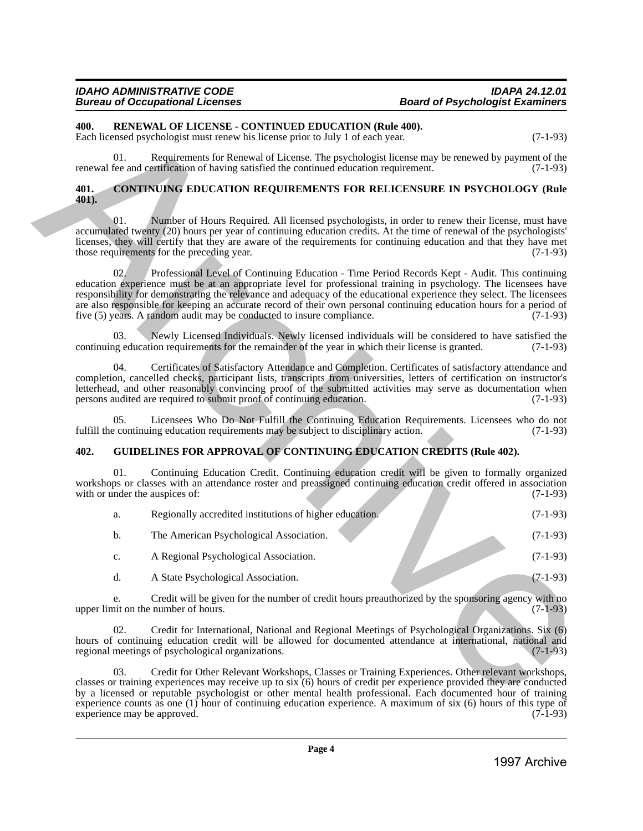### **Board of Psychologist Examiners**

#### <span id="page-3-0"></span>**400. RENEWAL OF LICENSE - CONTINUED EDUCATION (Rule 400).**

#### <span id="page-3-1"></span>**401. CONTINUING EDUCATION REQUIREMENTS FOR RELICENSURE IN PSYCHOLOGY (Rule 401).**

#### <span id="page-3-2"></span>**402. GUIDELINES FOR APPROVAL OF CONTINUING EDUCATION CREDITS (Rule 402).**

| 400.          |     | RENEWAL OF LICENSE - CONTINUED EDUCATION (Rule 400).<br>Each licensed psychologist must renew his license prior to July 1 of each year.                                                                                                                                                                                                                                                                                                                                                                                                     | $(7-1-93)$ |
|---------------|-----|---------------------------------------------------------------------------------------------------------------------------------------------------------------------------------------------------------------------------------------------------------------------------------------------------------------------------------------------------------------------------------------------------------------------------------------------------------------------------------------------------------------------------------------------|------------|
|               | 01. | Requirements for Renewal of License. The psychologist license may be renewed by payment of the<br>renewal fee and certification of having satisfied the continued education requirement.                                                                                                                                                                                                                                                                                                                                                    | $(7-1-93)$ |
| 401.<br>401). |     | <b>CONTINUING EDUCATION REQUIREMENTS FOR RELICENSURE IN PSYCHOLOGY (Rule</b>                                                                                                                                                                                                                                                                                                                                                                                                                                                                |            |
|               | 01. | Number of Hours Required. All licensed psychologists, in order to renew their license, must have<br>accumulated twenty (20) hours per year of continuing education credits. At the time of renewal of the psychologists'<br>licenses, they will certify that they are aware of the requirements for continuing education and that they have met<br>those requirements for the preceding year.                                                                                                                                               | $(7-1-93)$ |
|               | 02. | Professional Level of Continuing Education - Time Period Records Kept - Audit. This continuing<br>education experience must be at an appropriate level for professional training in psychology. The licensees have<br>responsibility for demonstrating the relevance and adequacy of the educational experience they select. The licensees<br>are also responsible for keeping an accurate record of their own personal continuing education hours for a period of<br>five (5) years. A random audit may be conducted to insure compliance. | $(7-1-93)$ |
|               | 03. | Newly Licensed Individuals. Newly licensed individuals will be considered to have satisfied the<br>continuing education requirements for the remainder of the year in which their license is granted.                                                                                                                                                                                                                                                                                                                                       | $(7-1-93)$ |
|               | 04. | Certificates of Satisfactory Attendance and Completion. Certificates of satisfactory attendance and<br>completion, cancelled checks, participant lists, transcripts from universities, letters of certification on instructor's<br>letterhead, and other reasonably convincing proof of the submitted activities may serve as documentation when<br>persons audited are required to submit proof of continuing education.                                                                                                                   | $(7-1-93)$ |
|               | 05. | Licensees Who Do Not Fulfill the Continuing Education Requirements. Licensees who do not<br>fulfill the continuing education requirements may be subject to disciplinary action.                                                                                                                                                                                                                                                                                                                                                            | $(7-1-93)$ |
| 402.          |     | <b>GUIDELINES FOR APPROVAL OF CONTINUING EDUCATION CREDITS (Rule 402).</b>                                                                                                                                                                                                                                                                                                                                                                                                                                                                  |            |
|               | 01. | Continuing Education Credit. Continuing education credit will be given to formally organized<br>workshops or classes with an attendance roster and preassigned continuing education credit offered in association<br>with or under the auspices of:                                                                                                                                                                                                                                                                                         | $(7-1-93)$ |
|               | a.  | Regionally accredited institutions of higher education.                                                                                                                                                                                                                                                                                                                                                                                                                                                                                     | $(7-1-93)$ |
|               | b.  | The American Psychological Association.                                                                                                                                                                                                                                                                                                                                                                                                                                                                                                     | $(7-1-93)$ |
|               | c.  | A Regional Psychological Association.                                                                                                                                                                                                                                                                                                                                                                                                                                                                                                       | $(7-1-93)$ |
|               | d.  | A State Psychological Association.                                                                                                                                                                                                                                                                                                                                                                                                                                                                                                          | $(7-1-93)$ |
|               | e.  | Credit will be given for the number of credit hours preauthorized by the sponsoring agency with no<br>upper limit on the number of hours.                                                                                                                                                                                                                                                                                                                                                                                                   | $(7-1-93)$ |
|               | 02. | Credit for International, National and Regional Meetings of Psychological Organizations. Six (6)<br>hours of continuing education credit will be allowed for documented attendance at international, national and<br>regional meetings of psychological organizations.                                                                                                                                                                                                                                                                      | $(7-1-93)$ |
|               | 03. | Credit for Other Relevant Workshops, Classes or Training Experiences. Other relevant workshops,<br>classes or training experiences may receive up to six (6) hours of credit per experience provided they are conducted<br>by a licensed or reputable psychologist or other mental health professional. Each documented hour of training<br>experience counts as one $(1)$ hour of continuing education experience. A maximum of six $(6)$ hours of this type of<br>experience may be approved.                                             | $(7-1-93)$ |
|               |     |                                                                                                                                                                                                                                                                                                                                                                                                                                                                                                                                             |            |
|               |     | Page 4                                                                                                                                                                                                                                                                                                                                                                                                                                                                                                                                      |            |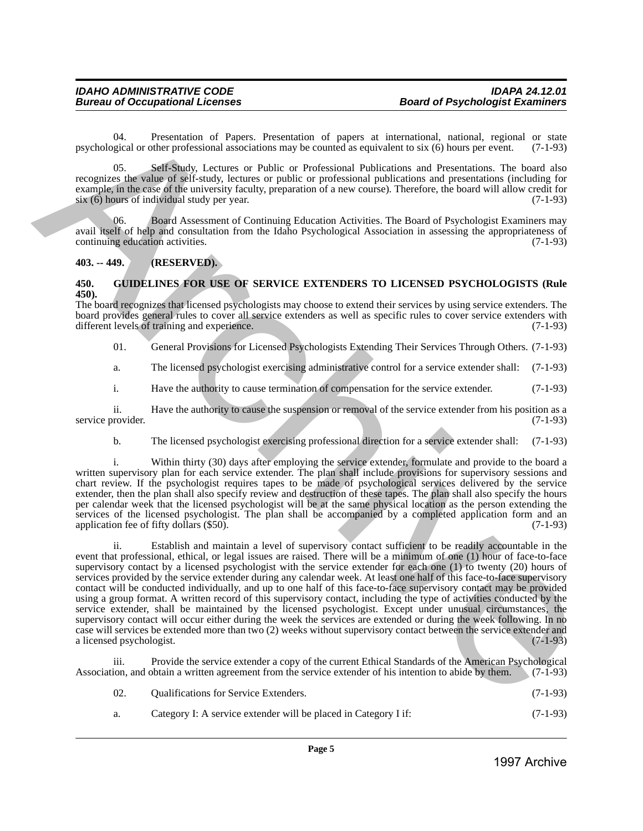04. Presentation of Papers. Presentation of papers at international, national, regional or state original or state parallel or other professional associations may be counted as equivalent to six  $(6)$  hours per event.  $(7$ psychological or other professional associations may be counted as equivalent to six (6) hours per event.

05. Self-Study, Lectures or Public or Professional Publications and Presentations. The board also recognizes the value of self-study, lectures or public or professional publications and presentations (including for example, in the case of the university faculty, preparation of a new course). Therefore, the board will allow credit for six (6) hours of individual study per year. (7-1-93)

06. Board Assessment of Continuing Education Activities. The Board of Psychologist Examiners may avail itself of help and consultation from the Idaho Psychological Association in assessing the appropriateness of continuing education activities.

#### <span id="page-4-0"></span>**403. -- 449. (RESERVED).**

#### <span id="page-4-1"></span>**450. GUIDELINES FOR USE OF SERVICE EXTENDERS TO LICENSED PSYCHOLOGISTS (Rule 450).**

The board recognizes that licensed psychologists may choose to extend their services by using service extenders. The board provides general rules to cover all service extenders as well as specific rules to cover service extenders with different levels of training and experience. (7-1-93) different levels of training and experience.

01. General Provisions for Licensed Psychologists Extending Their Services Through Others. (7-1-93)

a. The licensed psychologist exercising administrative control for a service extender shall: (7-1-93)

i. Have the authority to cause termination of compensation for the service extender. (7-1-93)

ii. Have the authority to cause the suspension or removal of the service extender from his position as a provider. (7-1-93) service provider.

b. The licensed psychologist exercising professional direction for a service extender shall: (7-1-93)

i. Within thirty (30) days after employing the service extender, formulate and provide to the board a written supervisory plan for each service extender. The plan shall include provisions for supervisory sessions and chart review. If the psychologist requires tapes to be made of psychological services delivered by the service extender, then the plan shall also specify review and destruction of these tapes. The plan shall also specify the hours per calendar week that the licensed psychologist will be at the same physical location as the person extending the services of the licensed psychologist. The plan shall be accompanied by a completed application form and an application fee of fifty dollars (\$50). (7-1-93)

ii. Establish and maintain a level of supervisory contact sufficient to be readily accountable in the event that professional, ethical, or legal issues are raised. There will be a minimum of one (1) hour of face-to-face supervisory contact by a licensed psychologist with the service extender for each one (1) to twenty (20) hours of services provided by the service extender during any calendar week. At least one half of this face-to-face supervisory contact will be conducted individually, and up to one half of this face-to-face supervisory contact may be provided using a group format. A written record of this supervisory contact, including the type of activities conducted by the service extender, shall be maintained by the licensed psychologist. Except under unusual circumstances, the supervisory contact will occur either during the week the services are extended or during the week following. In no case will services be extended more than two (2) weeks without supervisory contact between the service extender and a licensed psychologist. 1996)<br>
1997 Coloridate (6000 Polytonical antestimation and the control description and the coloridate residue to the<br>state of exact probability and the control descriptions and the control description and the<br>material an

Provide the service extender a copy of the current Ethical Standards of the American Psychological Association, and obtain a written agreement from the service extender of his intention to abide by them. (7-1-93)

| 02. | <b>Qualifications for Service Extenders.</b> | $(7-1-93)$ |
|-----|----------------------------------------------|------------|
|     |                                              |            |

#### a. Category I: A service extender will be placed in Category I if: (7-1-93)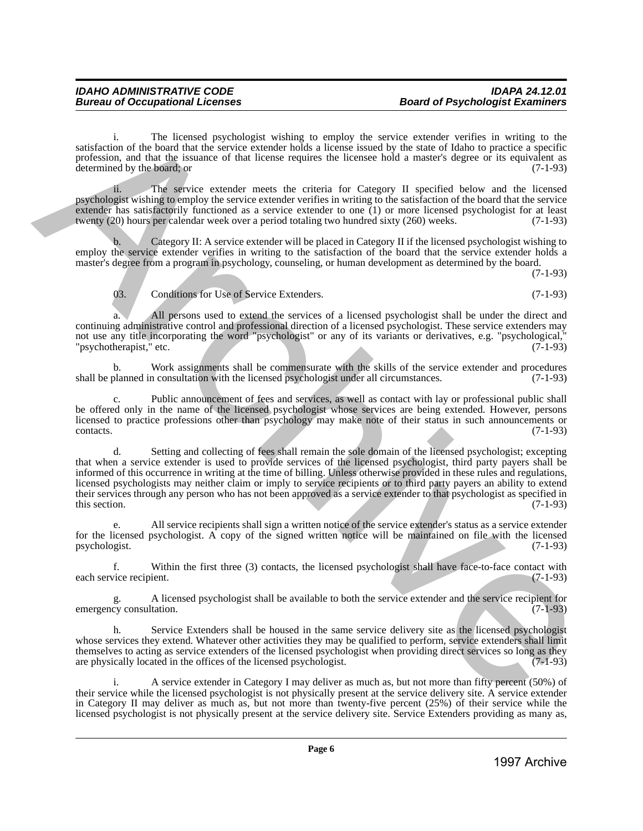i. The licensed psychologist wishing to employ the service extender verifies in writing to the satisfaction of the board that the service extender holds a license issued by the state of Idaho to practice a specific profession, and that the issuance of that license requires the licensee hold a master's degree or its equivalent as determined by the board; or  $(7-1-93)$ 

ii. The service extender meets the criteria for Category II specified below and the licensed psychologist wishing to employ the service extender verifies in writing to the satisfaction of the board that the service extender has satisfactorily functioned as a service extender to one (1) or more licensed psychologist for at least twenty (20) hours per calendar week over a period totaling two hundred sixty (260) weeks. (7-1-93)

Category II: A service extender will be placed in Category II if the licensed psychologist wishing to employ the service extender verifies in writing to the satisfaction of the board that the service extender holds a master's degree from a program in psychology, counseling, or human development as determined by the board.

(7-1-93)

03. Conditions for Use of Service Extenders. (7-1-93)

All persons used to extend the services of a licensed psychologist shall be under the direct and continuing administrative control and professional direction of a licensed psychologist. These service extenders may not use any title incorporating the word "psychologist" or any of its variants or derivatives, e.g. "psychological,"<br>"psychotherapist," etc. (7-1-93) "psychotherapist," etc.

b. Work assignments shall be commensurate with the skills of the service extender and procedures shall be planned in consultation with the licensed psychologist under all circumstances. (7-1-93)

c. Public announcement of fees and services, as well as contact with lay or professional public shall be offered only in the name of the licensed psychologist whose services are being extended. However, persons licensed to practice professions other than psychology may make note of their status in such announcements or contacts. (7-1-93) contacts. (7-1-93)

d. Setting and collecting of fees shall remain the sole domain of the licensed psychologist; excepting that when a service extender is used to provide services of the licensed psychologist, third party payers shall be informed of this occurrence in writing at the time of billing. Unless otherwise provided in these rules and regulations, licensed psychologists may neither claim or imply to service recipients or to third party payers an ability to extend their services through any person who has not been approved as a service extender to that psychologist as specified in<br>this section. (7-1-93) this section.  $(7-1-93)$ strictection of the boatsdap technique technique is employ the origins (a strictection) in the stress control of the stress control of the stress control of the stress control of the stress control of the stress control o

e. All service recipients shall sign a written notice of the service extender's status as a service extender for the licensed psychologist. A copy of the signed written notice will be maintained on file with the licensed psychologist.  $(7-1-93)$ psychologist.

f. Within the first three (3) contacts, the licensed psychologist shall have face-to-face contact with each service recipient.

A licensed psychologist shall be available to both the service extender and the service recipient for  $(7-1-93)$ emergency consultation.

h. Service Extenders shall be housed in the same service delivery site as the licensed psychologist whose services they extend. Whatever other activities they may be qualified to perform, service extenders shall limit themselves to acting as service extenders of the licensed psychologist when providing direct services so long as they are physically located in the offices of the licensed psychologist. (7-1-93)

i. A service extender in Category I may deliver as much as, but not more than fifty percent (50%) of their service while the licensed psychologist is not physically present at the service delivery site. A service extender in Category II may deliver as much as, but not more than twenty-five percent (25%) of their service while the licensed psychologist is not physically present at the service delivery site. Service Extenders providing as many as,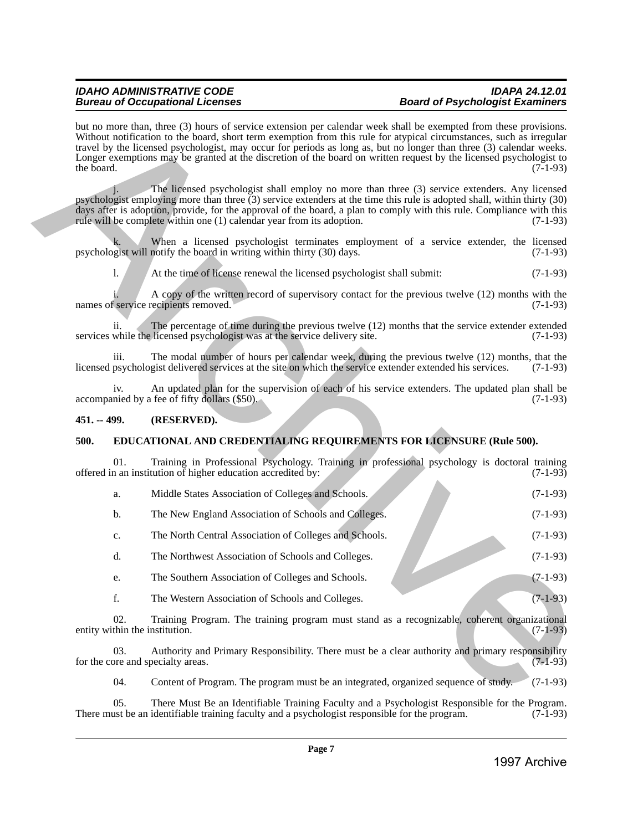## *Bureau of Occupational Licenses*

### *IDAHO ADMINISTRATIVE CODE IDAPA 24.12.01*

but no more than, three (3) hours of service extension per calendar week shall be exempted from these provisions. Without notification to the board, short term exemption from this rule for atypical circumstances, such as irregular travel by the licensed psychologist, may occur for periods as long as, but no longer than three (3) calendar weeks. Longer exemptions may be granted at the discretion of the board on written request by the licensed psychologist to the board. (7-1-93) the board.  $(7-1-93)$ 1997 and the same of a special problem is extend to the same of same of the same of the same of the same of the same of the same of the same of the same of the same of the same of the same of the same of the same of the

The licensed psychologist shall employ no more than three (3) service extenders. Any licensed psychologist employing more than three (3) service extenders at the time this rule is adopted shall, within thirty (30) days after is adoption, provide, for the approval of the board, a plan to comply with this rule. Compliance with this rule will be complete within one (1) calendar year from its adoption. (7-1-93)

When a licensed psychologist terminates employment of a service extender, the licensed notify the board in writing within thirty  $(30)$  days.  $(7-1-93)$ psychologist will notify the board in writing within thirty (30) days.

l. At the time of license renewal the licensed psychologist shall submit: (7-1-93)

A copy of the written record of supervisory contact for the previous twelve (12) months with the recipients removed. (7-1-93) names of service recipients removed.

ii. The percentage of time during the previous twelve (12) months that the service extender extended while the licensed psychologist was at the service delivery site. (7-1-93) services while the licensed psychologist was at the service delivery site.

iii. The modal number of hours per calendar week, during the previous twelve  $(12)$  months, that the psychologist delivered services at the site on which the service extender extended his services.  $(7-1-93)$ licensed psychologist delivered services at the site on which the service extender extended his services.

iv. An updated plan for the supervision of each of his service extenders. The updated plan shall be nied by a fee of fifty dollars (\$50). accompanied by a fee of fifty dollars (\$50).

#### <span id="page-6-0"></span>**451. -- 499. (RESERVED).**

#### <span id="page-6-1"></span>**500. EDUCATIONAL AND CREDENTIALING REQUIREMENTS FOR LICENSURE (Rule 500).**

01. Training in Professional Psychology. Training in professional psychology is doctoral training offered in an institution of higher education accredited by: (7-1-93)

| а. | Middle States Association of Colleges and Schools.   | $(7-1-93)$ |
|----|------------------------------------------------------|------------|
|    | The New England Association of Schools and Colleges. | $(7-1-93)$ |

c. The North Central Association of Colleges and Schools. (7-1-93)

d. The Northwest Association of Schools and Colleges. (7-1-93)

- e. The Southern Association of Colleges and Schools. (7-1-93)
- f. The Western Association of Schools and Colleges. (7-1-93)

02. Training Program. The training program must stand as a recognizable, coherent organizational thin the institution. (7-1-93) entity within the institution.

03. Authority and Primary Responsibility. There must be a clear authority and primary responsibility for the core and specialty areas. (7-1-93)

04. Content of Program. The program must be an integrated, organized sequence of study. (7-1-93)

05. There Must Be an Identifiable Training Faculty and a Psychologist Responsible for the Program. (7-1-93) ust be an identifiable training faculty and a psychologist responsible for the program. (7-1-93) There must be an identifiable training faculty and a psychologist responsible for the program.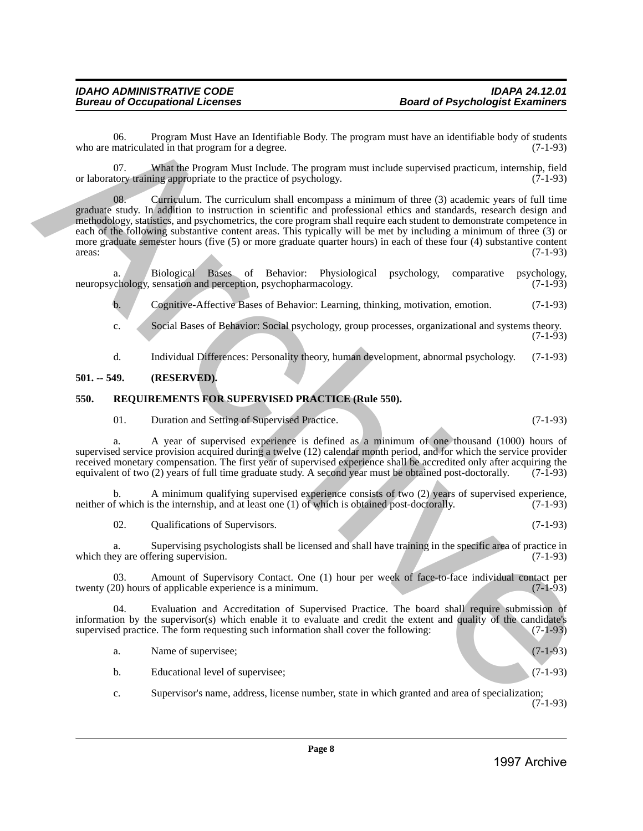06. Program Must Have an Identifiable Body. The program must have an identifiable body of students matriculated in that program for a degree. who are matriculated in that program for a degree.

07. What the Program Must Include. The program must include supervised practicum, internship, field tory training appropriate to the practice of psychology. (7-1-93) or laboratory training appropriate to the practice of psychology.

08. Curriculum. The curriculum shall encompass a minimum of three (3) academic years of full time graduate study. In addition to instruction in scientific and professional ethics and standards, research design and methodology, statistics, and psychometrics, the core program shall require each student to demonstrate competence in each of the following substantive content areas. This typically will be met by including a minimum of three (3) or more graduate semester hours (five (5) or more graduate quarter hours) in each of these four (4) substantive content areas: (7-1-93)  $\alpha$  areas:  $(7-1-93)$ Which the mean although there is blendable by the propaga must have an identified by of any other than  $\theta$  are the mean although the mean although the mean although the mean although the mean although the mean although t

a. Biological Bases of Behavior: Physiological psychology, comparative psychology, chology, sensation and perception, psychopharmacology. (7-1-93) neuropsychology, sensation and perception, psychopharmacology.

b. Cognitive-Affective Bases of Behavior: Learning, thinking, motivation, emotion. (7-1-93)

c. Social Bases of Behavior: Social psychology, group processes, organizational and systems theory. (7-1-93)

d. Individual Differences: Personality theory, human development, abnormal psychology. (7-1-93)

#### <span id="page-7-0"></span>**501. -- 549. (RESERVED).**

#### <span id="page-7-1"></span>**550. REQUIREMENTS FOR SUPERVISED PRACTICE (Rule 550).**

01. Duration and Setting of Supervised Practice. (7-1-93)

a. A year of supervised experience is defined as a minimum of one thousand (1000) hours of supervised service provision acquired during a twelve (12) calendar month period, and for which the service provider received monetary compensation. The first year of supervised experience shall be accredited only after acquiring the equivalent of two (2) years of full time graduate study. A second year must be obtained post-doctorally. (7-1-93)

b. A minimum qualifying supervised experience consists of two (2) years of supervised experience, neither of which is the internship, and at least one (1) of which is obtained post-doctorally. (7-1-93)

02. Qualifications of Supervisors. (7-1-93)

a. Supervising psychologists shall be licensed and shall have training in the specific area of practice in which they are offering supervision. (7-1-93)

03. Amount of Supervisory Contact. One (1) hour per week of face-to-face individual contact per 20) hours of applicable experience is a minimum. (7-1-93) twenty (20) hours of applicable experience is a minimum.

04. Evaluation and Accreditation of Supervised Practice. The board shall require submission of information by the supervisor(s) which enable it to evaluate and credit the extent and quality of the candidate's supervised practice. The form requesting such information shall cover the following: (7-1-93)

a. Name of supervisee; (7-1-93)

b. Educational level of supervisee; (7-1-93)

c. Supervisor's name, address, license number, state in which granted and area of specialization;  $(7-1-93)$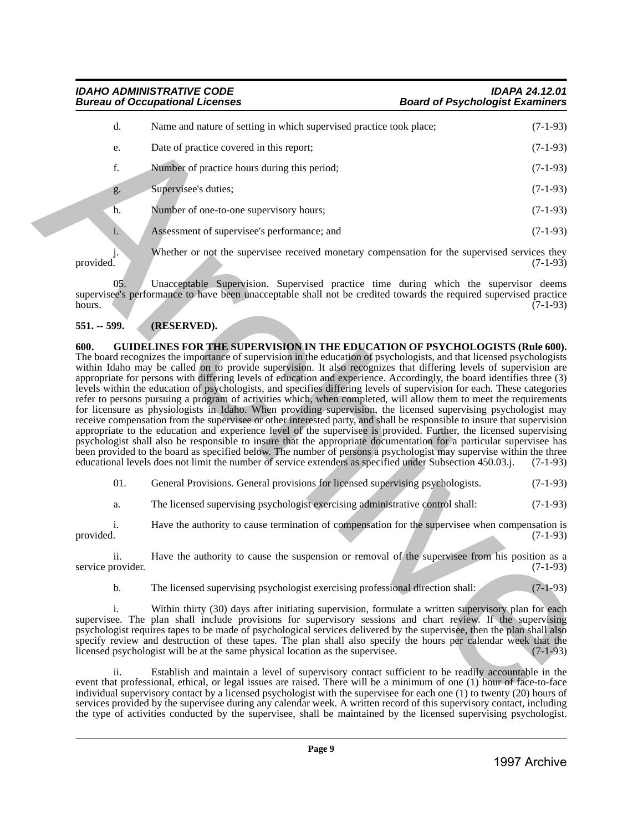### d. Name and nature of setting in which supervised practice took place; (7-1-93) e. Date of practice covered in this report; (7-1-93) f. Number of practice hours during this period; (7-1-93) g. Supervisee's duties; (7-1-93) h. Number of one-to-one supervisory hours; (7-1-93) i. Assessment of supervisee's performance; and (7-1-93)

j. Whether or not the supervisee received monetary compensation for the supervised services they provided. (7-1-93) provided.  $(7-1-93)$ 

05. Unacceptable Supervision. Supervised practice time during which the supervisor deems supervisee's performance to have been unacceptable shall not be credited towards the required supervised practice<br>(7-1-93) hours. (7-1-93)

#### <span id="page-8-1"></span><span id="page-8-0"></span>**551. -- 599. (RESERVED).**

**Bureau of Occupational Licenses** 

**600. GUIDELINES FOR THE SUPERVISION IN THE EDUCATION OF PSYCHOLOGISTS (Rule 600).** The board recognizes the importance of supervision in the education of psychologists, and that licensed psychologists within Idaho may be called on to provide supervision. It also recognizes that differing levels of supervision are appropriate for persons with differing levels of education and experience. Accordingly, the board identifies three (3) levels within the education of psychologists, and specifies differing levels of supervision for each. These categories refer to persons pursuing a program of activities which, when completed, will allow them to meet the requirements for licensure as physiologists in Idaho. When providing supervision, the licensed supervising psychologist may receive compensation from the supervisee or other interested party, and shall be responsible to insure that supervision appropriate to the education and experience level of the supervisee is provided. Further, the licensed supervising psychologist shall also be responsible to insure that the appropriate documentation for a particular supervisee has been provided to the board as specified below. The number of persons a psychologist may supervise within the three educational levels does not limit the number of service extenders as specified under Subsection 450.03.j. (7-1-93) 1998 - Chiractic schemes the state of the state of the state of the state of the state of the state of the state of the state of the state of the state of the state of the state of the state of the state of the state of

01. General Provisions. General provisions for licensed supervising psychologists. (7-1-93)

a. The licensed supervising psychologist exercising administrative control shall: (7-1-93)

i. Have the authority to cause termination of compensation for the supervisee when compensation is provided.  $(7-1-93)$ 

ii. Have the authority to cause the suspension or removal of the supervisee from his position as a service provider. (7-1-93)

b. The licensed supervising psychologist exercising professional direction shall: (7-1-93)

i. Within thirty (30) days after initiating supervision, formulate a written supervisory plan for each supervisee. The plan shall include provisions for supervisory sessions and chart review. If the supervising psychologist requires tapes to be made of psychological services delivered by the supervisee, then the plan shall also specify review and destruction of these tapes. The plan shall also specify the hours per calendar week that the licensed psychologist will be at the same physical location as the supervisee. (7-1-93) licensed psychologist will be at the same physical location as the supervisee.

ii. Establish and maintain a level of supervisory contact sufficient to be readily accountable in the event that professional, ethical, or legal issues are raised. There will be a minimum of one (1) hour of face-to-face individual supervisory contact by a licensed psychologist with the supervisee for each one (1) to twenty (20) hours of services provided by the supervisee during any calendar week. A written record of this supervisory contact, including the type of activities conducted by the supervisee, shall be maintained by the licensed supervising psychologist.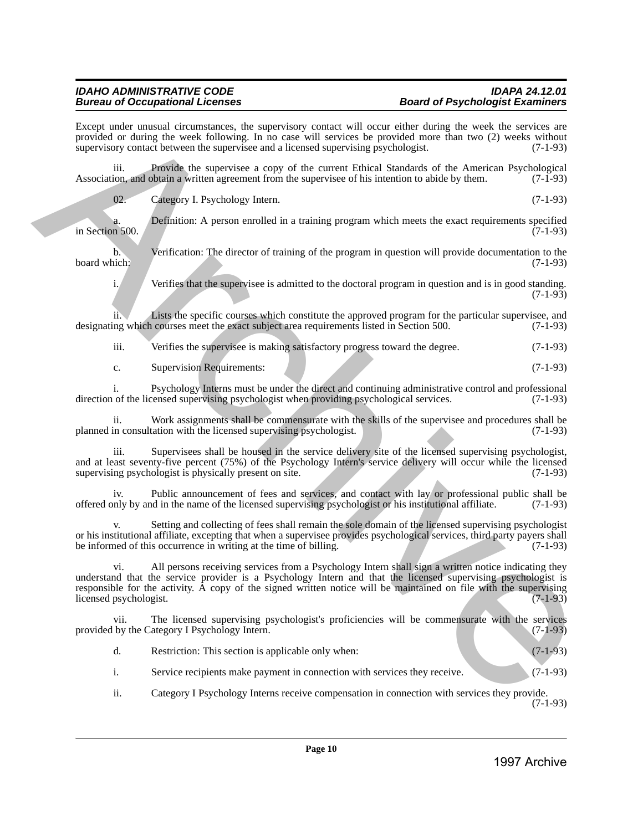Except under unusual circumstances, the supervisory contact will occur either during the week the services are provided or during the week following. In no case will services be provided more than two (2) weeks without supervisory contact between the supervise and a licensed supervising psychologist. (7-1-93) supervisory contact between the supervisee and a licensed supervising psychologist.

iii. Provide the supervisee a copy of the current Ethical Standards of the American Psychological ion, and obtain a written agreement from the supervisee of his intention to abide by them. (7-1-93) Association, and obtain a written agreement from the supervisee of his intention to abide by them.

02. Category I. Psychology Intern. (7-1-93)

Definition: A person enrolled in a training program which meets the exact requirements specified (7-1-93) in Section 500.

b. Verification: The director of training of the program in question will provide documentation to the board which: (7-1-93) board which: (7-1-93)

i. Verifies that the supervisee is admitted to the doctoral program in question and is in good standing.  $(7-1-93)$ 

ii. Lists the specific courses which constitute the approved program for the particular supervisee, and ng which courses meet the exact subject area requirements listed in Section 500.  $(7-1-93)$ designating which courses meet the exact subject area requirements listed in Section 500.

iii. Verifies the supervisee is making satisfactory progress toward the degree. (7-1-93)

c. Supervision Requirements: (7-1-93)

i. Psychology Interns must be under the direct and continuing administrative control and professional of the licensed supervising psychologist when providing psychological services. (7-1-93) direction of the licensed supervising psychologist when providing psychological services.

ii. Work assignments shall be commensurate with the skills of the supervisee and procedures shall be in consultation with the licensed supervising psychologist. (7-1-93) planned in consultation with the licensed supervising psychologist.

iii. Supervisees shall be housed in the service delivery site of the licensed supervising psychologist, and at least seventy-five percent (75%) of the Psychology Intern's service delivery will occur while the licensed supervising psychologist is physically present on site. (7-1-93)

iv. Public announcement of fees and services, and contact with lay or professional public shall be offered only by and in the name of the licensed supervising psychologist or his institutional affiliate. (7-1-93)

Setting and collecting of fees shall remain the sole domain of the licensed supervising psychologist or his institutional affiliate, excepting that when a supervisee provides psychological services, third party payers shall be informed of this occurrence in writing at the time of billing.

vi. All persons receiving services from a Psychology Intern shall sign a written notice indicating they understand that the service provider is a Psychology Intern and that the licensed supervising psychologist is responsible for the activity. A copy of the signed written notice will be maintained on file with the supervising licensed psychologist. licensed psychologist. Excel with a simulation considered into a simulation of license collective and the distinguish excellent into a simulation of license into a simulation of license into a simulation of license into a simulation of license

The licensed supervising psychologist's proficiencies will be commensurate with the services provided by the Category I Psychology Intern. (7-1-93)

| Restriction: This section is applicable only when: | $(7-1-93)$ |
|----------------------------------------------------|------------|
|----------------------------------------------------|------------|

i. Service recipients make payment in connection with services they receive. (7-1-93)

ii. Category I Psychology Interns receive compensation in connection with services they provide. (7-1-93)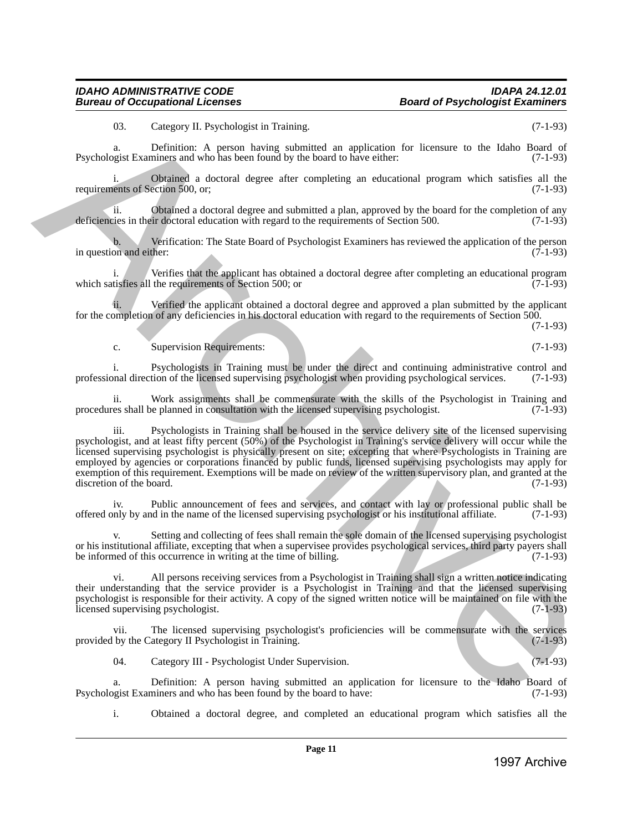03. Category II. Psychologist in Training. (7-1-93)

a. Definition: A person having submitted an application for licensure to the Idaho Board of Psychologist Examiners and who has been found by the board to have either: (7-1-93)

Obtained a doctoral degree after completing an educational program which satisfies all the ection  $500$ , or,  $(7-1-93)$ requirements of Section 500, or;

ii. Obtained a doctoral degree and submitted a plan, approved by the board for the completion of any deficiencies in their doctoral education with regard to the requirements of Section 500. (7-1-93)

b. Verification: The State Board of Psychologist Examiners has reviewed the application of the person on and either: (7-1-93) in question and either:

i. Verifies that the applicant has obtained a doctoral degree after completing an educational program tisfies all the requirements of Section 500; or which satisfies all the requirements of Section 500; or

Verified the applicant obtained a doctoral degree and approved a plan submitted by the applicant for the completion of any deficiencies in his doctoral education with regard to the requirements of Section 500.

(7-1-93)

#### c. Supervision Requirements: (7-1-93)

i. Psychologists in Training must be under the direct and continuing administrative control and professional direction of the licensed supervising psychologist when providing psychological services. (7-1-93)

ii. Work assignments shall be commensurate with the skills of the Psychologist in Training and es shall be planned in consultation with the licensed supervising psychologist. (7-1-93) procedures shall be planned in consultation with the licensed supervising psychologist.

iii. Psychologists in Training shall be housed in the service delivery site of the licensed supervising psychologist, and at least fifty percent (50%) of the Psychologist in Training's service delivery will occur while the licensed supervising psychologist is physically present on site; excepting that where Psychologists in Training are employed by agencies or corporations financed by public funds, licensed supervising psychologists may apply for exemption of this requirement. Exemptions will be made on review of the written supervisory plan, and granted at the discretion of the board. (7-1-93) discretion of the board. 1998)<br>
1998 Conseque Liberation in Training Conservation for the<br>training conservation of the conservation of the system behavior of the<br>system Example Conservation of the system of the system of the system of<br>the system

iv. Public announcement of fees and services, and contact with lay or professional public shall be only by and in the name of the licensed supervising psychologist or his institutional affiliate. (7-1-93) offered only by and in the name of the licensed supervising psychologist or his institutional affiliate. (7-1-93)

Setting and collecting of fees shall remain the sole domain of the licensed supervising psychologist or his institutional affiliate, excepting that when a supervisee provides psychological services, third party payers shall<br>be informed of this occurrence in writing at the time of billing. be informed of this occurrence in writing at the time of billing.

vi. All persons receiving services from a Psychologist in Training shall sign a written notice indicating their understanding that the service provider is a Psychologist in Training and that the licensed supervising psychologist is responsible for their activity. A copy of the signed written notice will be maintained on file with the licensed supervising psychologist. (7-1-93) licensed supervising psychologist.

vii. The licensed supervising psychologist's proficiencies will be commensurate with the services by the Category II Psychologist in Training. (7-1-93) provided by the Category II Psychologist in Training.

04. Category III - Psychologist Under Supervision. (7-1-93)

a. Definition: A person having submitted an application for licensure to the Idaho Board of operation by the board to have: (7-1-93) Psychologist Examiners and who has been found by the board to have:

i. Obtained a doctoral degree, and completed an educational program which satisfies all the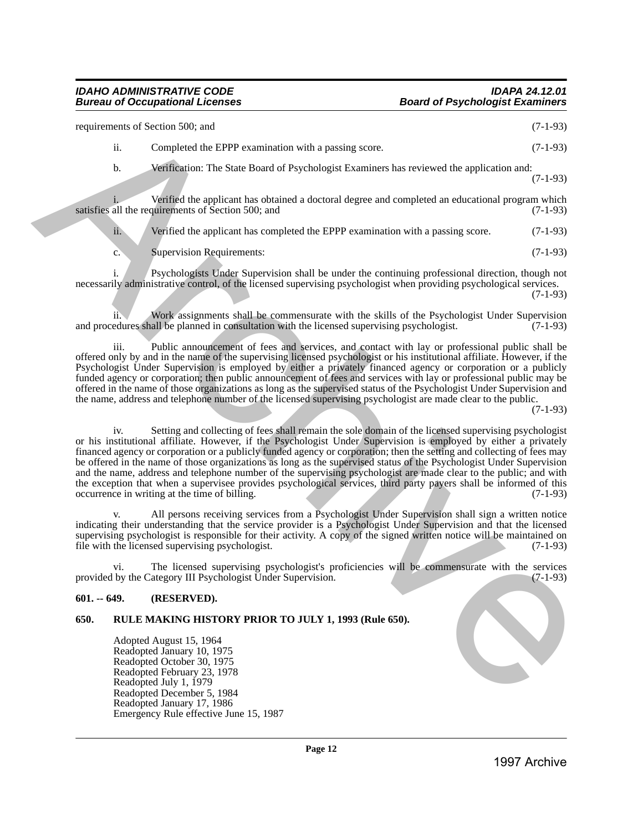### *Bureau of Occupational Licenses*

requirements of Section 500; and (7-1-93) ii. Completed the EPPP examination with a passing score. (7-1-93) b. Verification: The State Board of Psychologist Examiners has reviewed the application and: (7-1-93) Verified the applicant has obtained a doctoral degree and completed an educational program which<br>quirements of Section 500; and (7-1-93) satisfies all the requirements of Section 500; and ii. Verified the applicant has completed the EPPP examination with a passing score. (7-1-93) c. Supervision Requirements: (7-1-93) i. Psychologists Under Supervision shall be under the continuing professional direction, though not Experimental of Social Archives and SPP completed with a possing section (17-95)<br>
1997 Archives the Star Franchise of Psychologics Franchise archives and contribute and  $(7.1-9/3)$ <br>
1997 Archives Archives and the Star Fra

necessarily administrative control, of the licensed supervising psychologist when providing psychological services. (7-1-93)

ii. Work assignments shall be commensurate with the skills of the Psychologist Under Supervision edures shall be planned in consultation with the licensed supervising psychologist. (7-1-93) and procedures shall be planned in consultation with the licensed supervising psychologist.

iii. Public announcement of fees and services, and contact with lay or professional public shall be offered only by and in the name of the supervising licensed psychologist or his institutional affiliate. However, if the Psychologist Under Supervision is employed by either a privately financed agency or corporation or a publicly funded agency or corporation; then public announcement of fees and services with lay or professional public may be offered in the name of those organizations as long as the supervised status of the Psychologist Under Supervision and the name, address and telephone number of the licensed supervising psychologist are made clear to the public.

(7-1-93)

iv. Setting and collecting of fees shall remain the sole domain of the licensed supervising psychologist or his institutional affiliate. However, if the Psychologist Under Supervision is employed by either a privately financed agency or corporation or a publicly funded agency or corporation; then the setting and collecting of fees may be offered in the name of those organizations as long as the supervised status of the Psychologist Under Supervision and the name, address and telephone number of the supervising psychologist are made clear to the public; and with the exception that when a supervisee provides psychological services, third party payers shall be informed of this occurrence in writing at the time of billing. (7-1-93) occurrence in writing at the time of billing.

All persons receiving services from a Psychologist Under Supervision shall sign a written notice indicating their understanding that the service provider is a Psychologist Under Supervision and that the licensed supervising psychologist is responsible for their activity. A copy of the signed written notice will be maintained on file with the licensed supervising psychologist.  $(7-1-93)$ file with the licensed supervising psychologist.

vi. The licensed supervising psychologist's proficiencies will be commensurate with the services by the Category III Psychologist Under Supervision. (7-1-93) provided by the Category III Psychologist Under Supervision.

#### <span id="page-11-0"></span>**601. -- 649. (RESERVED).**

#### <span id="page-11-1"></span>**650. RULE MAKING HISTORY PRIOR TO JULY 1, 1993 (Rule 650).**

Adopted August 15, 1964 Readopted January 10, 1975 Readopted October 30, 1975 Readopted February 23, 1978 Readopted July 1, 1979 Readopted December 5, 1984 Readopted January 17, 1986 Emergency Rule effective June 15, 1987